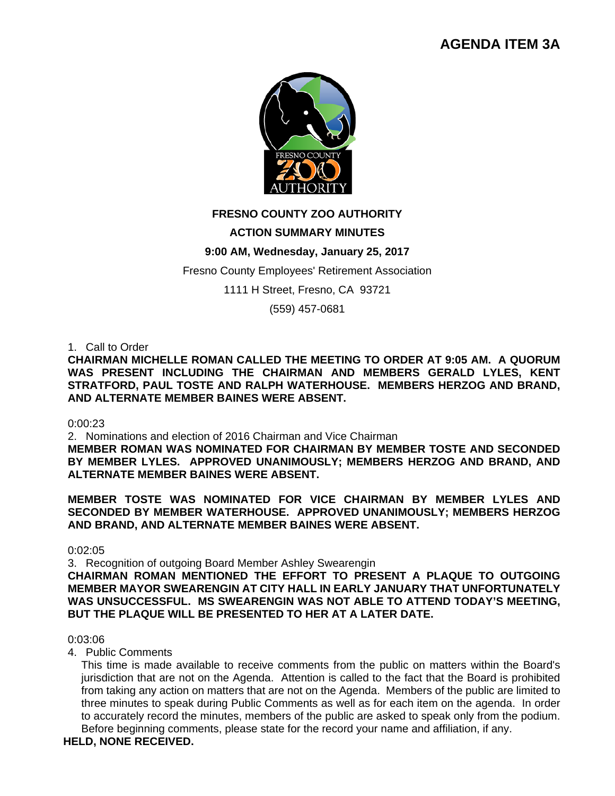# **AGENDA ITEM 3A**



# **FRESNO COUNTY ZOO AUTHORITY**

# **ACTION SUMMARY MINUTES**

# **9:00 AM, Wednesday, January 25, 2017**

# Fresno County Employees' Retirement Association

1111 H Street, Fresno, CA 93721

(559) 457-0681

# 1. Call to Order

**CHAIRMAN MICHELLE ROMAN CALLED THE MEETING TO ORDER AT 9:05 AM. A QUORUM WAS PRESENT INCLUDING THE CHAIRMAN AND MEMBERS GERALD LYLES, KENT STRATFORD, PAUL TOSTE AND RALPH WATERHOUSE. MEMBERS HERZOG AND BRAND, AND ALTERNATE MEMBER BAINES WERE ABSENT.** 

#### 0:00:23

2. Nominations and election of 2016 Chairman and Vice Chairman

**MEMBER ROMAN WAS NOMINATED FOR CHAIRMAN BY MEMBER TOSTE AND SECONDED BY MEMBER LYLES. APPROVED UNANIMOUSLY; MEMBERS HERZOG AND BRAND, AND ALTERNATE MEMBER BAINES WERE ABSENT.** 

**MEMBER TOSTE WAS NOMINATED FOR VICE CHAIRMAN BY MEMBER LYLES AND SECONDED BY MEMBER WATERHOUSE. APPROVED UNANIMOUSLY; MEMBERS HERZOG AND BRAND, AND ALTERNATE MEMBER BAINES WERE ABSENT.** 

0:02:05

3. Recognition of outgoing Board Member Ashley Swearengin

**CHAIRMAN ROMAN MENTIONED THE EFFORT TO PRESENT A PLAQUE TO OUTGOING MEMBER MAYOR SWEARENGIN AT CITY HALL IN EARLY JANUARY THAT UNFORTUNATELY WAS UNSUCCESSFUL. MS SWEARENGIN WAS NOT ABLE TO ATTEND TODAY'S MEETING, BUT THE PLAQUE WILL BE PRESENTED TO HER AT A LATER DATE.** 

# 0:03:06

# 4. Public Comments

This time is made available to receive comments from the public on matters within the Board's jurisdiction that are not on the Agenda. Attention is called to the fact that the Board is prohibited from taking any action on matters that are not on the Agenda. Members of the public are limited to three minutes to speak during Public Comments as well as for each item on the agenda. In order to accurately record the minutes, members of the public are asked to speak only from the podium. Before beginning comments, please state for the record your name and affiliation, if any.

# **HELD, NONE RECEIVED.**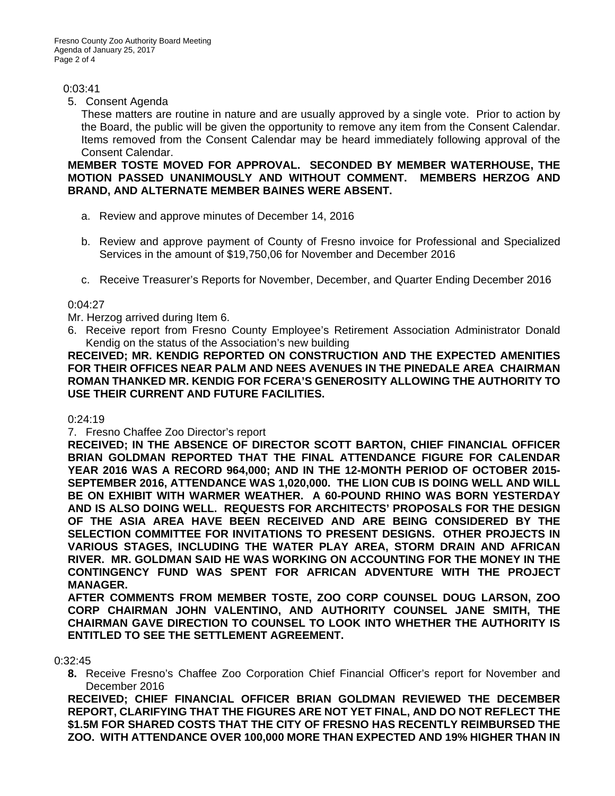# 0:03:41

# 5. Consent Agenda

These matters are routine in nature and are usually approved by a single vote. Prior to action by the Board, the public will be given the opportunity to remove any item from the Consent Calendar. Items removed from the Consent Calendar may be heard immediately following approval of the Consent Calendar.

# **MEMBER TOSTE MOVED FOR APPROVAL. SECONDED BY MEMBER WATERHOUSE, THE MOTION PASSED UNANIMOUSLY AND WITHOUT COMMENT. MEMBERS HERZOG AND BRAND, AND ALTERNATE MEMBER BAINES WERE ABSENT.**

- a. Review and approve minutes of December 14, 2016
- b. Review and approve payment of County of Fresno invoice for Professional and Specialized Services in the amount of \$19,750,06 for November and December 2016
- c. Receive Treasurer's Reports for November, December, and Quarter Ending December 2016

# 0:04:27

Mr. Herzog arrived during Item 6.

6. Receive report from Fresno County Employee's Retirement Association Administrator Donald Kendig on the status of the Association's new building

**RECEIVED; MR. KENDIG REPORTED ON CONSTRUCTION AND THE EXPECTED AMENITIES FOR THEIR OFFICES NEAR PALM AND NEES AVENUES IN THE PINEDALE AREA CHAIRMAN ROMAN THANKED MR. KENDIG FOR FCERA'S GENEROSITY ALLOWING THE AUTHORITY TO USE THEIR CURRENT AND FUTURE FACILITIES.** 

# 0:24:19

7. Fresno Chaffee Zoo Director's report

**RECEIVED; IN THE ABSENCE OF DIRECTOR SCOTT BARTON, CHIEF FINANCIAL OFFICER BRIAN GOLDMAN REPORTED THAT THE FINAL ATTENDANCE FIGURE FOR CALENDAR YEAR 2016 WAS A RECORD 964,000; AND IN THE 12-MONTH PERIOD OF OCTOBER 2015- SEPTEMBER 2016, ATTENDANCE WAS 1,020,000. THE LION CUB IS DOING WELL AND WILL BE ON EXHIBIT WITH WARMER WEATHER. A 60-POUND RHINO WAS BORN YESTERDAY AND IS ALSO DOING WELL. REQUESTS FOR ARCHITECTS' PROPOSALS FOR THE DESIGN OF THE ASIA AREA HAVE BEEN RECEIVED AND ARE BEING CONSIDERED BY THE SELECTION COMMITTEE FOR INVITATIONS TO PRESENT DESIGNS. OTHER PROJECTS IN VARIOUS STAGES, INCLUDING THE WATER PLAY AREA, STORM DRAIN AND AFRICAN RIVER. MR. GOLDMAN SAID HE WAS WORKING ON ACCOUNTING FOR THE MONEY IN THE CONTINGENCY FUND WAS SPENT FOR AFRICAN ADVENTURE WITH THE PROJECT MANAGER.** 

**AFTER COMMENTS FROM MEMBER TOSTE, ZOO CORP COUNSEL DOUG LARSON, ZOO CORP CHAIRMAN JOHN VALENTINO, AND AUTHORITY COUNSEL JANE SMITH, THE CHAIRMAN GAVE DIRECTION TO COUNSEL TO LOOK INTO WHETHER THE AUTHORITY IS ENTITLED TO SEE THE SETTLEMENT AGREEMENT.** 

# 0:32:45

**8.** Receive Fresno's Chaffee Zoo Corporation Chief Financial Officer's report for November and December 2016

**RECEIVED; CHIEF FINANCIAL OFFICER BRIAN GOLDMAN REVIEWED THE DECEMBER REPORT, CLARIFYING THAT THE FIGURES ARE NOT YET FINAL, AND DO NOT REFLECT THE \$1.5M FOR SHARED COSTS THAT THE CITY OF FRESNO HAS RECENTLY REIMBURSED THE ZOO. WITH ATTENDANCE OVER 100,000 MORE THAN EXPECTED AND 19% HIGHER THAN IN**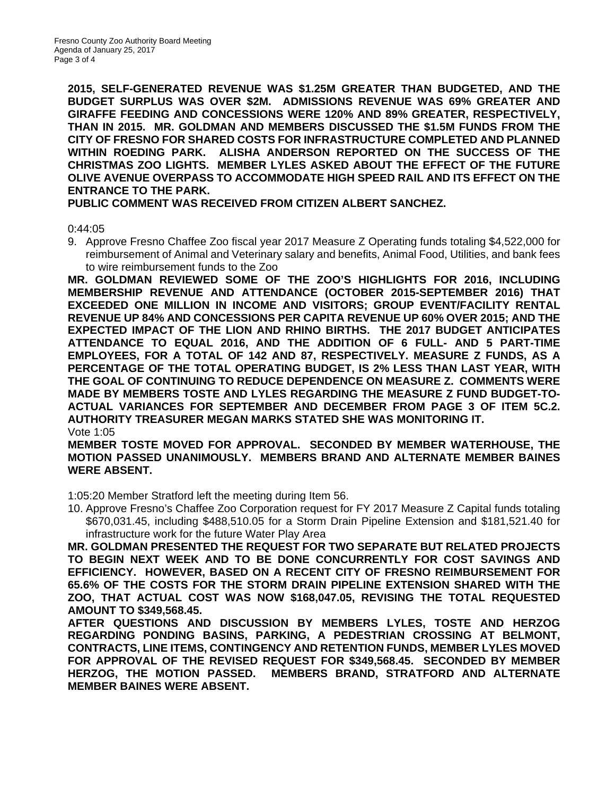**2015, SELF-GENERATED REVENUE WAS \$1.25M GREATER THAN BUDGETED, AND THE BUDGET SURPLUS WAS OVER \$2M. ADMISSIONS REVENUE WAS 69% GREATER AND GIRAFFE FEEDING AND CONCESSIONS WERE 120% AND 89% GREATER, RESPECTIVELY, THAN IN 2015. MR. GOLDMAN AND MEMBERS DISCUSSED THE \$1.5M FUNDS FROM THE CITY OF FRESNO FOR SHARED COSTS FOR INFRASTRUCTURE COMPLETED AND PLANNED WITHIN ROEDING PARK. ALISHA ANDERSON REPORTED ON THE SUCCESS OF THE CHRISTMAS ZOO LIGHTS. MEMBER LYLES ASKED ABOUT THE EFFECT OF THE FUTURE OLIVE AVENUE OVERPASS TO ACCOMMODATE HIGH SPEED RAIL AND ITS EFFECT ON THE ENTRANCE TO THE PARK.** 

**PUBLIC COMMENT WAS RECEIVED FROM CITIZEN ALBERT SANCHEZ.** 

0:44:05

9. Approve Fresno Chaffee Zoo fiscal year 2017 Measure Z Operating funds totaling \$4,522,000 for reimbursement of Animal and Veterinary salary and benefits, Animal Food, Utilities, and bank fees to wire reimbursement funds to the Zoo

**MR. GOLDMAN REVIEWED SOME OF THE ZOO'S HIGHLIGHTS FOR 2016, INCLUDING MEMBERSHIP REVENUE AND ATTENDANCE (OCTOBER 2015-SEPTEMBER 2016) THAT EXCEEDED ONE MILLION IN INCOME AND VISITORS; GROUP EVENT/FACILITY RENTAL REVENUE UP 84% AND CONCESSIONS PER CAPITA REVENUE UP 60% OVER 2015; AND THE EXPECTED IMPACT OF THE LION AND RHINO BIRTHS. THE 2017 BUDGET ANTICIPATES ATTENDANCE TO EQUAL 2016, AND THE ADDITION OF 6 FULL- AND 5 PART-TIME EMPLOYEES, FOR A TOTAL OF 142 AND 87, RESPECTIVELY. MEASURE Z FUNDS, AS A PERCENTAGE OF THE TOTAL OPERATING BUDGET, IS 2% LESS THAN LAST YEAR, WITH THE GOAL OF CONTINUING TO REDUCE DEPENDENCE ON MEASURE Z. COMMENTS WERE MADE BY MEMBERS TOSTE AND LYLES REGARDING THE MEASURE Z FUND BUDGET-TO-ACTUAL VARIANCES FOR SEPTEMBER AND DECEMBER FROM PAGE 3 OF ITEM 5C.2. AUTHORITY TREASURER MEGAN MARKS STATED SHE WAS MONITORING IT.**  Vote 1:05

**MEMBER TOSTE MOVED FOR APPROVAL. SECONDED BY MEMBER WATERHOUSE, THE MOTION PASSED UNANIMOUSLY. MEMBERS BRAND AND ALTERNATE MEMBER BAINES WERE ABSENT.** 

1:05:20 Member Stratford left the meeting during Item 56.

10. Approve Fresno's Chaffee Zoo Corporation request for FY 2017 Measure Z Capital funds totaling \$670,031.45, including \$488,510.05 for a Storm Drain Pipeline Extension and \$181,521.40 for infrastructure work for the future Water Play Area

**MR. GOLDMAN PRESENTED THE REQUEST FOR TWO SEPARATE BUT RELATED PROJECTS TO BEGIN NEXT WEEK AND TO BE DONE CONCURRENTLY FOR COST SAVINGS AND EFFICIENCY. HOWEVER, BASED ON A RECENT CITY OF FRESNO REIMBURSEMENT FOR 65.6% OF THE COSTS FOR THE STORM DRAIN PIPELINE EXTENSION SHARED WITH THE ZOO, THAT ACTUAL COST WAS NOW \$168,047.05, REVISING THE TOTAL REQUESTED AMOUNT TO \$349,568.45.** 

**AFTER QUESTIONS AND DISCUSSION BY MEMBERS LYLES, TOSTE AND HERZOG REGARDING PONDING BASINS, PARKING, A PEDESTRIAN CROSSING AT BELMONT, CONTRACTS, LINE ITEMS, CONTINGENCY AND RETENTION FUNDS, MEMBER LYLES MOVED FOR APPROVAL OF THE REVISED REQUEST FOR \$349,568.45. SECONDED BY MEMBER HERZOG, THE MOTION PASSED. MEMBERS BRAND, STRATFORD AND ALTERNATE MEMBER BAINES WERE ABSENT.**